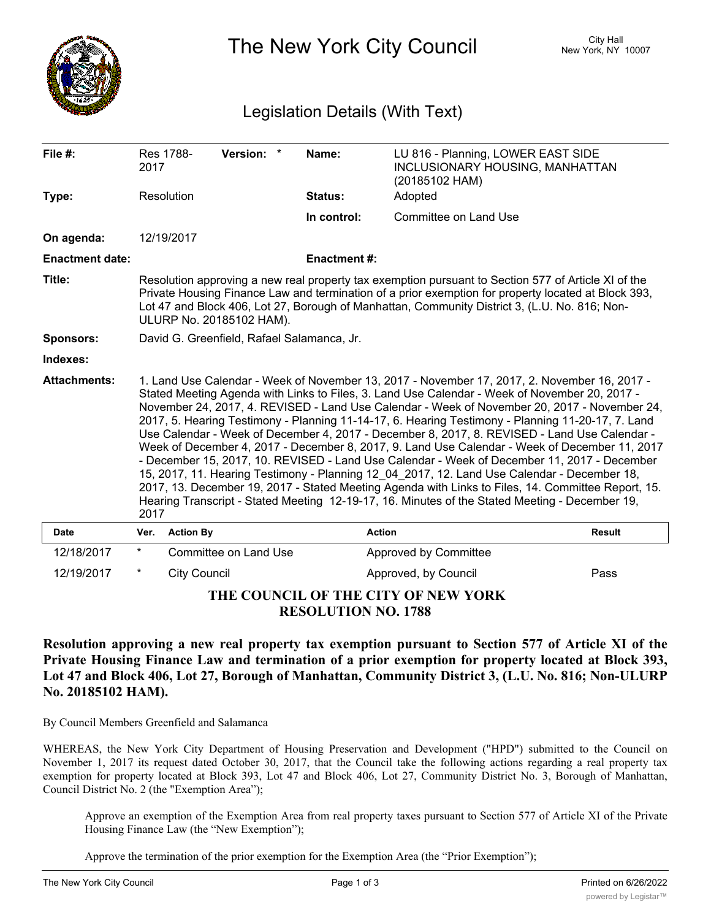

The New York City Council New York, NY 10007

## Legislation Details (With Text)

| File #:                             | 2017                                                                                                                                                                                                                                                                                                                                                                                                                                                                                                                                                                                                                                                                                                                                                                                                                                                                                                                                                                                                              | Res 1788-           | Version: *            |  | Name:              | LU 816 - Planning, LOWER EAST SIDE<br>INCLUSIONARY HOUSING, MANHATTAN<br>(20185102 HAM) |               |
|-------------------------------------|-------------------------------------------------------------------------------------------------------------------------------------------------------------------------------------------------------------------------------------------------------------------------------------------------------------------------------------------------------------------------------------------------------------------------------------------------------------------------------------------------------------------------------------------------------------------------------------------------------------------------------------------------------------------------------------------------------------------------------------------------------------------------------------------------------------------------------------------------------------------------------------------------------------------------------------------------------------------------------------------------------------------|---------------------|-----------------------|--|--------------------|-----------------------------------------------------------------------------------------|---------------|
| Type:                               |                                                                                                                                                                                                                                                                                                                                                                                                                                                                                                                                                                                                                                                                                                                                                                                                                                                                                                                                                                                                                   | Resolution          |                       |  | <b>Status:</b>     | Adopted                                                                                 |               |
|                                     |                                                                                                                                                                                                                                                                                                                                                                                                                                                                                                                                                                                                                                                                                                                                                                                                                                                                                                                                                                                                                   |                     |                       |  | In control:        | Committee on Land Use                                                                   |               |
| On agenda:                          |                                                                                                                                                                                                                                                                                                                                                                                                                                                                                                                                                                                                                                                                                                                                                                                                                                                                                                                                                                                                                   | 12/19/2017          |                       |  |                    |                                                                                         |               |
| <b>Enactment date:</b>              |                                                                                                                                                                                                                                                                                                                                                                                                                                                                                                                                                                                                                                                                                                                                                                                                                                                                                                                                                                                                                   |                     |                       |  | <b>Enactment#:</b> |                                                                                         |               |
| Title:                              | Resolution approving a new real property tax exemption pursuant to Section 577 of Article XI of the<br>Private Housing Finance Law and termination of a prior exemption for property located at Block 393,<br>Lot 47 and Block 406, Lot 27, Borough of Manhattan, Community District 3, (L.U. No. 816; Non-<br>ULURP No. 20185102 HAM).                                                                                                                                                                                                                                                                                                                                                                                                                                                                                                                                                                                                                                                                           |                     |                       |  |                    |                                                                                         |               |
| <b>Sponsors:</b>                    | David G. Greenfield, Rafael Salamanca, Jr.                                                                                                                                                                                                                                                                                                                                                                                                                                                                                                                                                                                                                                                                                                                                                                                                                                                                                                                                                                        |                     |                       |  |                    |                                                                                         |               |
| Indexes:                            |                                                                                                                                                                                                                                                                                                                                                                                                                                                                                                                                                                                                                                                                                                                                                                                                                                                                                                                                                                                                                   |                     |                       |  |                    |                                                                                         |               |
| <b>Attachments:</b>                 | 1. Land Use Calendar - Week of November 13, 2017 - November 17, 2017, 2. November 16, 2017 -<br>Stated Meeting Agenda with Links to Files, 3. Land Use Calendar - Week of November 20, 2017 -<br>November 24, 2017, 4. REVISED - Land Use Calendar - Week of November 20, 2017 - November 24,<br>2017, 5. Hearing Testimony - Planning 11-14-17, 6. Hearing Testimony - Planning 11-20-17, 7. Land<br>Use Calendar - Week of December 4, 2017 - December 8, 2017, 8. REVISED - Land Use Calendar -<br>Week of December 4, 2017 - December 8, 2017, 9. Land Use Calendar - Week of December 11, 2017<br>- December 15, 2017, 10. REVISED - Land Use Calendar - Week of December 11, 2017 - December<br>15, 2017, 11. Hearing Testimony - Planning 12 04 2017, 12. Land Use Calendar - December 18,<br>2017, 13. December 19, 2017 - Stated Meeting Agenda with Links to Files, 14. Committee Report, 15.<br>Hearing Transcript - Stated Meeting 12-19-17, 16. Minutes of the Stated Meeting - December 19,<br>2017 |                     |                       |  |                    |                                                                                         |               |
| <b>Date</b>                         | Ver.                                                                                                                                                                                                                                                                                                                                                                                                                                                                                                                                                                                                                                                                                                                                                                                                                                                                                                                                                                                                              | <b>Action By</b>    |                       |  |                    | <b>Action</b>                                                                           | <b>Result</b> |
| 12/18/2017                          | $^\star$                                                                                                                                                                                                                                                                                                                                                                                                                                                                                                                                                                                                                                                                                                                                                                                                                                                                                                                                                                                                          |                     | Committee on Land Use |  |                    | Approved by Committee                                                                   |               |
| 12/19/2017                          | $\ast$                                                                                                                                                                                                                                                                                                                                                                                                                                                                                                                                                                                                                                                                                                                                                                                                                                                                                                                                                                                                            | <b>City Council</b> |                       |  |                    | Approved, by Council                                                                    | Pass          |
| THE COUNCIL OF THE CITY OF NEW YORK |                                                                                                                                                                                                                                                                                                                                                                                                                                                                                                                                                                                                                                                                                                                                                                                                                                                                                                                                                                                                                   |                     |                       |  |                    |                                                                                         |               |

**RESOLUTION NO. 1788**

**Resolution approving a new real property tax exemption pursuant to Section 577 of Article XI of the Private Housing Finance Law and termination of a prior exemption for property located at Block 393, Lot 47 and Block 406, Lot 27, Borough of Manhattan, Community District 3, (L.U. No. 816; Non-ULURP No. 20185102 HAM).**

By Council Members Greenfield and Salamanca

WHEREAS, the New York City Department of Housing Preservation and Development ("HPD") submitted to the Council on November 1, 2017 its request dated October 30, 2017, that the Council take the following actions regarding a real property tax exemption for property located at Block 393, Lot 47 and Block 406, Lot 27, Community District No. 3, Borough of Manhattan, Council District No. 2 (the "Exemption Area");

Approve an exemption of the Exemption Area from real property taxes pursuant to Section 577 of Article XI of the Private Housing Finance Law (the "New Exemption");

Approve the termination of the prior exemption for the Exemption Area (the "Prior Exemption");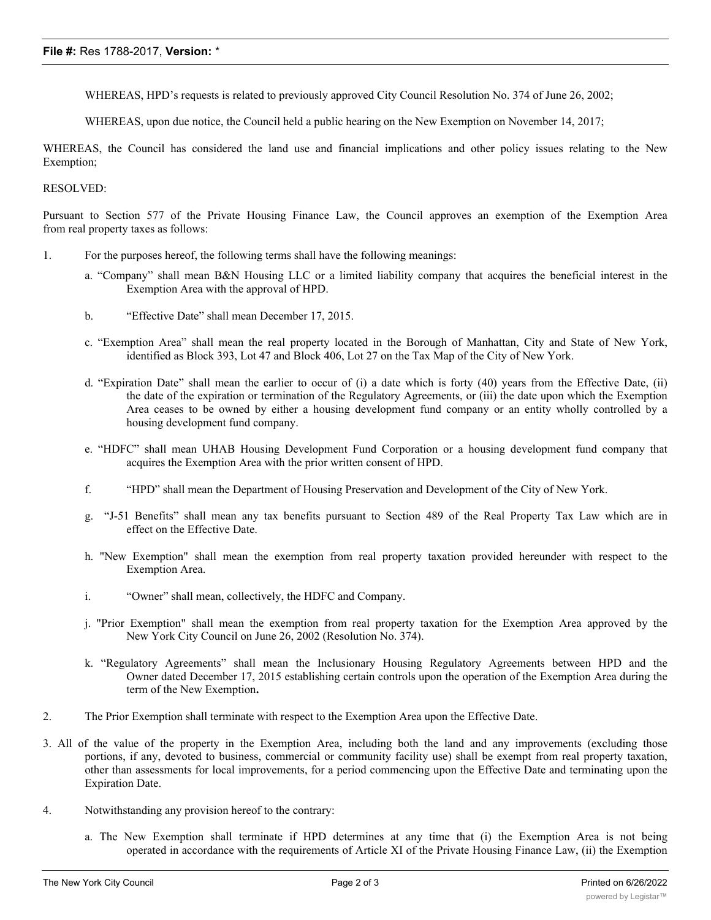WHEREAS, HPD's requests is related to previously approved City Council Resolution No. 374 of June 26, 2002;

WHEREAS, upon due notice, the Council held a public hearing on the New Exemption on November 14, 2017;

WHEREAS, the Council has considered the land use and financial implications and other policy issues relating to the New Exemption;

## RESOLVED:

Pursuant to Section 577 of the Private Housing Finance Law, the Council approves an exemption of the Exemption Area from real property taxes as follows:

- 1. For the purposes hereof, the following terms shall have the following meanings:
	- a. "Company" shall mean B&N Housing LLC or a limited liability company that acquires the beneficial interest in the Exemption Area with the approval of HPD.
	- b. "Effective Date" shall mean December 17, 2015.
	- c. "Exemption Area" shall mean the real property located in the Borough of Manhattan, City and State of New York, identified as Block 393, Lot 47 and Block 406, Lot 27 on the Tax Map of the City of New York.
	- d. "Expiration Date" shall mean the earlier to occur of (i) a date which is forty (40) years from the Effective Date, (ii) the date of the expiration or termination of the Regulatory Agreements, or (iii) the date upon which the Exemption Area ceases to be owned by either a housing development fund company or an entity wholly controlled by a housing development fund company.
	- e. "HDFC" shall mean UHAB Housing Development Fund Corporation or a housing development fund company that acquires the Exemption Area with the prior written consent of HPD.
	- f. "HPD" shall mean the Department of Housing Preservation and Development of the City of New York.
	- g. "J-51 Benefits" shall mean any tax benefits pursuant to Section 489 of the Real Property Tax Law which are in effect on the Effective Date.
	- h. "New Exemption" shall mean the exemption from real property taxation provided hereunder with respect to the Exemption Area.
	- i. "Owner" shall mean, collectively, the HDFC and Company.
	- j. "Prior Exemption" shall mean the exemption from real property taxation for the Exemption Area approved by the New York City Council on June 26, 2002 (Resolution No. 374).
	- k. "Regulatory Agreements" shall mean the Inclusionary Housing Regulatory Agreements between HPD and the Owner dated December 17, 2015 establishing certain controls upon the operation of the Exemption Area during the term of the New Exemption**.**
- 2. The Prior Exemption shall terminate with respect to the Exemption Area upon the Effective Date.
- 3. All of the value of the property in the Exemption Area, including both the land and any improvements (excluding those portions, if any, devoted to business, commercial or community facility use) shall be exempt from real property taxation, other than assessments for local improvements, for a period commencing upon the Effective Date and terminating upon the Expiration Date.
- 4. Notwithstanding any provision hereof to the contrary:
	- a. The New Exemption shall terminate if HPD determines at any time that (i) the Exemption Area is not being operated in accordance with the requirements of Article XI of the Private Housing Finance Law, (ii) the Exemption